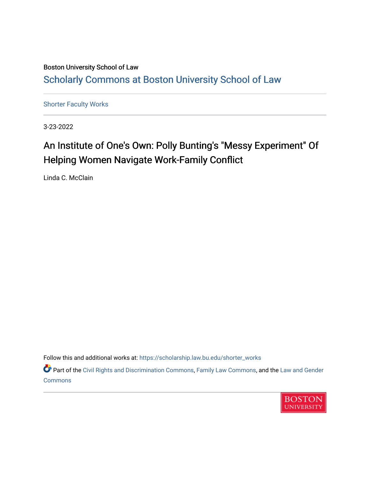## Boston University School of Law [Scholarly Commons at Boston University School of Law](https://scholarship.law.bu.edu/)

[Shorter Faculty Works](https://scholarship.law.bu.edu/shorter_works)

3-23-2022

## An Institute of One's Own: Polly Bunting's "Messy Experiment" Of Helping Women Navigate Work-Family Conflict

Linda C. McClain

Follow this and additional works at: [https://scholarship.law.bu.edu/shorter\\_works](https://scholarship.law.bu.edu/shorter_works?utm_source=scholarship.law.bu.edu%2Fshorter_works%2F144&utm_medium=PDF&utm_campaign=PDFCoverPages)

Part of the [Civil Rights and Discrimination Commons,](http://network.bepress.com/hgg/discipline/585?utm_source=scholarship.law.bu.edu%2Fshorter_works%2F144&utm_medium=PDF&utm_campaign=PDFCoverPages) [Family Law Commons,](http://network.bepress.com/hgg/discipline/602?utm_source=scholarship.law.bu.edu%2Fshorter_works%2F144&utm_medium=PDF&utm_campaign=PDFCoverPages) and the [Law and Gender](http://network.bepress.com/hgg/discipline/1298?utm_source=scholarship.law.bu.edu%2Fshorter_works%2F144&utm_medium=PDF&utm_campaign=PDFCoverPages)  **[Commons](http://network.bepress.com/hgg/discipline/1298?utm_source=scholarship.law.bu.edu%2Fshorter_works%2F144&utm_medium=PDF&utm_campaign=PDFCoverPages)** 

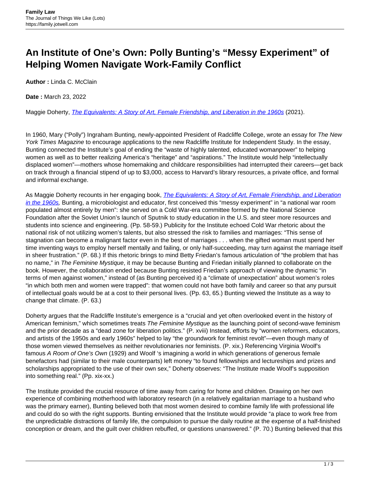## **An Institute of One's Own: Polly Bunting's "Messy Experiment" of Helping Women Navigate Work-Family Conflict**

**Author :** Linda C. McClain

**Date :** March 23, 2022

Maggie Doherty, *[The Equivalents: A Story of Art, Female Friendship, and Liberation in the 1960s](https://www.penguinrandomhouse.com/books/555915/the-equivalents-by-maggie-doherty/)* (2021).

In 1960, Mary ("Polly") Ingraham Bunting, newly-appointed President of Radcliffe College, wrote an essay for The New York Times Magazine to encourage applications to the new Radcliffe Institute for Independent Study. In the essay, Bunting connected the Institute's goal of ending the "waste of highly talented, educated womanpower" to helping women as well as to better realizing America's "heritage" and "aspirations." The Institute would help "intellectually displaced women"—mothers whose homemaking and childcare responsibilities had interrupted their careers—get back on track through a financial stipend of up to \$3,000, access to Harvard's library resources, a private office, and formal and informal exchange.

As Maggie Doherty recounts in her engaging book, *[The Equivalents: A Story of Art, Female Friendship, and Liberation](https://www.penguinrandomhouse.com/books/555915/the-equivalents-by-maggie-doherty/)* [in the 1960s,](https://www.penguinrandomhouse.com/books/555915/the-equivalents-by-maggie-doherty/) Bunting, a microbiologist and educator, first conceived this "messy experiment" in "a national war room populated almost entirely by men": she served on a Cold War-era committee formed by the National Science Foundation after the Soviet Union's launch of Sputnik to study education in the U.S. and steer more resources and students into science and engineering. (Pp. 58-59.) Publicity for the Institute echoed Cold War rhetoric about the national risk of not utilizing women's talents, but also stressed the risk to families and marriages: "This sense of stagnation can become a malignant factor even in the best of marriages . . . when the gifted woman must spend her time inventing ways to employ herself mentally and failing, or only half-succeeding, may turn against the marriage itself in sheer frustration." (P. 68.) If this rhetoric brings to mind Betty Friedan's famous articulation of "the problem that has no name," in The Feminine Mystique, it may be because Bunting and Friedan initially planned to collaborate on the book. However, the collaboration ended because Bunting resisted Friedan's approach of viewing the dynamic "in terms of men against women," instead of (as Bunting perceived it) a "climate of unexpectation" about women's roles "in which both men and women were trapped": that women could not have both family and career so that any pursuit of intellectual goals would be at a cost to their personal lives. (Pp. 63, 65.) Bunting viewed the Institute as a way to change that climate. (P. 63.)

Doherty argues that the Radcliffe Institute's emergence is a "crucial and yet often overlooked event in the history of American feminism," which sometimes treats The Feminine Mystique as the launching point of second-wave feminism and the prior decade as a "dead zone for liberation politics." (P. xviii) Instead, efforts by "women reformers, educators, and artists of the 1950s and early 1960s" helped to lay "the groundwork for feminist revolt"—even though many of those women viewed themselves as neither revolutionaries nor feminists. (P. xix.) Referencing Virginia Woolf's famous A Room of One's Own (1929) and Woolf 's imagining a world in which generations of generous female benefactors had (similar to their male counterparts) left money "to found fellowships and lectureships and prizes and scholarships appropriated to the use of their own sex," Doherty observes: "The Institute made Woolf's supposition into something real." (Pp. xix-xx.)

The Institute provided the crucial resource of time away from caring for home and children. Drawing on her own experience of combining motherhood with laboratory research (in a relatively egalitarian marriage to a husband who was the primary earner), Bunting believed both that most women desired to combine family life with professional life and could do so with the right supports. Bunting envisioned that the Institute would provide "a place to work free from the unpredictable distractions of family life, the compulsion to pursue the daily routine at the expense of a half-finished conception or dream, and the guilt over children rebuffed, or questions unanswered." (P. 70.) Bunting believed that this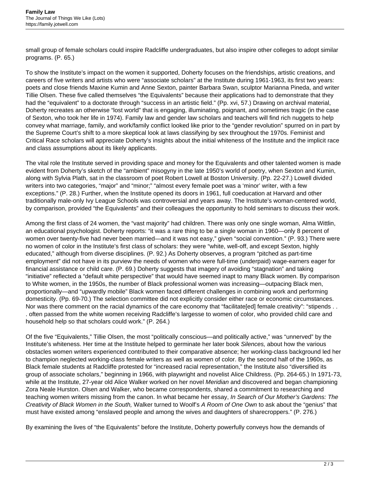small group of female scholars could inspire Radcliffe undergraduates, but also inspire other colleges to adopt similar programs. (P. 65.)

To show the Institute's impact on the women it supported, Doherty focuses on the friendships, artistic creations, and careers of five writers and artists who were "associate scholars" at the Institute during 1961-1963, its first two years: poets and close friends Maxine Kumin and Anne Sexton, painter Barbara Swan, sculptor Marianna Pineda, and writer Tillie Olsen. These five called themselves "the Equivalents" because their applications had to demonstrate that they had the "equivalent" to a doctorate through "success in an artistic field." (Pp. xvi, 57.) Drawing on archival material, Doherty recreates an otherwise "lost world" that is engaging, illuminating, poignant, and sometimes tragic (in the case of Sexton, who took her life in 1974). Family law and gender law scholars and teachers will find rich nuggets to help convey what marriage, family, and work/family conflict looked like prior to the "gender revolution" spurred on in part by the Supreme Court's shift to a more skeptical look at laws classifying by sex throughout the 1970s. Feminist and Critical Race scholars will appreciate Doherty's insights about the initial whiteness of the Institute and the implicit race and class assumptions about its likely applicants.

The vital role the Institute served in providing space and money for the Equivalents and other talented women is made evident from Doherty's sketch of the "ambient" misogyny in the late 1950's world of poetry, when Sexton and Kumin, along with Sylvia Plath, sat in the classroom of poet Robert Lowell at Boston University. (Pp. 22-27.) Lowell divided writers into two categories, "major" and "minor;" "almost every female poet was a 'minor' writer, with a few exceptions." (P. 28.) Further, when the Institute opened its doors in 1961, full coeducation at Harvard and other traditionally male-only Ivy League Schools was controversial and years away. The Institute's woman-centered world, by comparison, provided "the Equivalents" and their colleagues the opportunity to hold seminars to discuss their work.

Among the first class of 24 women, the "vast majority" had children. There was only one single woman, Alma Wittlin, an educational psychologist. Doherty reports: "it was a rare thing to be a single woman in 1960—only 8 percent of women over twenty-five had never been married—and it was not easy," given "social convention." (P. 93.) There were no women of color in the Institute's first class of scholars: they were "white, well-off, and except Sexton, highly educated," although from diverse disciplines. (P. 92.) As Doherty observes, a program "pitched as part-time employment" did not have in its purview the needs of women who were full-time (underpaid) wage-earners eager for financial assistance or child care. (P. 69.) Doherty suggests that imagery of avoiding "stagnation" and taking "initiative" reflected a "default white perspective" that would have seemed inapt to many Black women. By comparison to White women, in the 1950s, the number of Black professional women was increasing—outpacing Black men, proportionally—and "upwardly mobile" Black women faced different challenges in combining work and performing domesticity. (Pp. 69-70.) The selection committee did not explicitly consider either race or economic circumstances. Nor was there comment on the racial dynamics of the care economy that "facilitate[ed] female creativity": "stipends . . . often passed from the white women receiving Radcliffe's largesse to women of color, who provided child care and household help so that scholars could work." (P. 264.)

Of the five "Equivalents," Tillie Olsen, the most "politically conscious—and politically active," was "unnerved" by the Institute's whiteness. Her time at the Institute helped to germinate her later book Silences, about how the various obstacles women writers experienced contributed to their comparative absence; her working-class background led her to champion neglected working-class female writers as well as women of color. By the second half of the 1960s, as Black female students at Radcliffe protested for "increased racial representation," the Institute also "diversified its group of associate scholars," beginning in 1966, with playwright and novelist Alice Childress. (Pp. 264-65.) In 1971-73, while at the Institute, 27-year old Alice Walker worked on her novel Meridian and discovered and began championing Zora Neale Hurston. Olsen and Walker, who became correspondents, shared a commitment to researching and teaching women writers missing from the canon. In what became her essay, In Search of Our Mother's Gardens: The Creativity of Black Women in the South, Walker turned to Woolf's A Room of One Own to ask about the "genius" that must have existed among "enslaved people and among the wives and daughters of sharecroppers." (P. 276.)

By examining the lives of "the Equivalents" before the Institute, Doherty powerfully conveys how the demands of